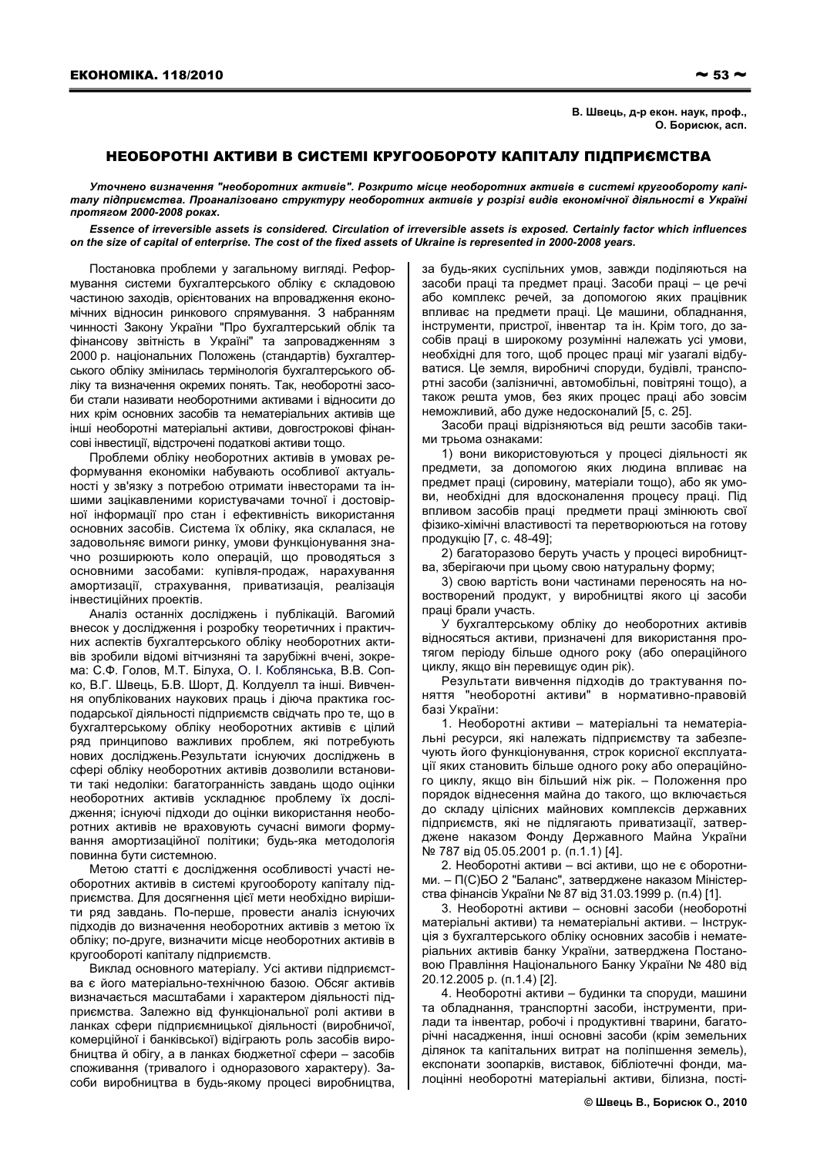## НЕОБОРОТНІ АКТИВИ В СИСТЕМІ КРУГООБОРОТУ КАПІТАЛУ ПІДПРИЄМСТВА

Уточнено визначення "необоротних активів". Розкрито місце необоротних активів в системі кругообороту капіталу підприємства. Проаналізовано структуру необоротних активів у розрізі видів економічної діяльності в Україні протягом 2000-2008 роках.

Essence of irreversible assets is considered. Circulation of irreversible assets is exposed. Certainly factor which influences on the size of capital of enterprise. The cost of the fixed assets of Ukraine is represented in 2000-2008 years.

Постановка проблеми у загальному вигляді. Реформування системи бухгалтерського обліку є складовою частиною заходів, орієнтованих на впровадження економічних відносин ринкового спрямування. З набранням чинності Закону України "Про бухгалтерський облік та фінансову звітність в Україні" та запровадженням з 2000 р. національних Положень (стандартів) бухгалтерського обліку змінилась термінологія бухгалтерського обліку та визначення окремих понять. Так, необоротні засоби стали називати необоротними активами і відносити до них крім основних засобів та нематеріальних активів ще інші необоротні матеріальні активи, довгострокові фінансові інвестиції, відстрочені податкові активи тощо.

Проблеми обліку необоротних активів в умовах реформування економіки набувають особливої актуальності у зв'язку з потребою отримати інвесторами та іншими зацікавленими користувачами точної і достовірної інформації про стан і ефективність використання основних засобів. Система їх обліку, яка склалася, не задовольняє вимоги ринку, умови функціонування значно розширюють коло операцій, що проводяться з основними засобами: купівля-продаж, нарахування амортизації, страхування, приватизація, реалізація інвестиційних проектів.

Аналіз останніх досліджень і публікацій. Вагомий внесок у дослідження і розробку теоретичних і практичних аспектів бухгалтерського обліку необоротних активів зробили відомі вітчизняні та зарубіжні вчені, зокрема: С.Ф. Голов, М.Т. Білуха, О. І. Коблянська, В.В. Сопко, В.Г. Швець, Б.В. Шорт, Д. Колдуелл та інші. Вивчення опублікованих наукових праць і діюча практика господарської діяльності підприємств свідчать про те, що в бухгалтерському обліку необоротних активів є цілий ряд принципово важливих проблем, які потребують нових досліджень. Результати існуючих досліджень в сфері обліку необоротних активів дозволили встановити такі недоліки: багатогранність завдань щодо оцінки необоротних активів ускладнює проблему їх дослідження; існуючі підходи до оцінки використання необоротних активів не враховують сучасні вимоги формування амортизаційної політики; будь-яка методологія повинна бути системною.

Метою статті є дослідження особливості участі необоротних активів в системі кругообороту капіталу підприємства. Для досягнення цієї мети необхідно вирішити ряд завдань. По-перше, провести аналіз існуючих підходів до визначення необоротних активів з метою їх обліку: по-друге, визначити місце необоротних активів в кругообороті капіталу підприємств.

Виклад основного матеріалу. Усі активи підприємства є його матеріально-технічною базою. Обсяг активів визначається масштабами і характером діяльності підприємства. Залежно від функціональної ролі активи в ланках сфери підприємницької діяльності (виробничої, комерційної і банківської) відіграють роль засобів виробництва й обігу, а в ланках бюджетної сфери - засобів споживання (тривалого і одноразового характеру). Засоби виробництва в будь-якому процесі виробництва,

за будь-яких суспільних умов, завжди поділяються на засоби праці та предмет праці. Засоби праці - це речі або комплекс речей, за допомогою яких працівник впливає на предмети праці. Це машини, обладнання, інструменти, пристрої, інвентар та ін. Крім того, до засобів праці в широкому розумінні належать усі умови, необхідні для того, щоб процес праці міг узагалі відбуватися. Це земля, виробничі споруди, будівлі, транспортні засоби (залізничні, автомобільні, повітряні тощо), а також решта умов, без яких процес праці або зовсім неможливий, або дуже недосконалий [5, с. 25].

Засоби праці відрізняються від решти засобів такими трьома ознаками:

1) вони використовуються у процесі діяльності як предмети, за допомогою яких людина впливає на предмет праці (сировину, матеріали тощо), або як умови, необхідні для вдосконалення процесу праці. Під впливом засобів праці предмети праці змінюють свої фізико-хімічні властивості та перетворюються на готову продукцію [7, с. 48-49];

2) багаторазово беруть участь у процесі виробництва, зберігаючи при цьому свою натуральну форму:

3) свою вартість вони частинами переносять на новостворений продукт, у виробництві якого ці засоби праці брали участь.

У бухгалтерському обліку до необоротних активів відносяться активи, призначені для використання протягом періоду більше одного року (або операційного циклу, якщо він перевищує один рік).

Результати вивчення підходів до трактування поняття "необоротні активи" в нормативно-правовій базі України:

1. Необоротні активи - матеріальні та нематеріальні ресурси, які належать підприємству та забезпечують його функціонування, строк корисної експлуатації яких становить більше одного року або операційного циклу, якщо він більший ніж рік. - Положення про порядок віднесення майна до такого, що включається до складу цілісних майнових комплексів державних підприємств, які не підлягають приватизації, затверджене наказом Фонду Державного Майна України № 787 від 05.05.2001 р. (п.1.1) [4].

2. Необоротні активи - всі активи, що не є оборотними. - П(С)БО 2 "Баланс", затверджене наказом Міністерства фінансів України № 87 від 31.03.1999 р. (п.4) [1].

3. Необоротні активи - основні засоби (необоротні матеріальні активи) та нематеріальні активи. - Інструкція з бухгалтерського обліку основних засобів і нематеріальних активів банку України, затверджена Постановою Правління Національного Банку України № 480 від 20.12.2005 p. (n.1.4) [2].

4. Необоротні активи - будинки та споруди, машини та обладнання, транспортні засоби, інструменти, прилади та інвентар, робочі і продуктивні тварини, багаторічні насадження, інші основні засоби (крім земельних ділянок та капітальних витрат на поліпшення земель), експонати зоопарків, виставок, бібліотечні фонди, малоцінні необоротні матеріальні активи, білизна, пості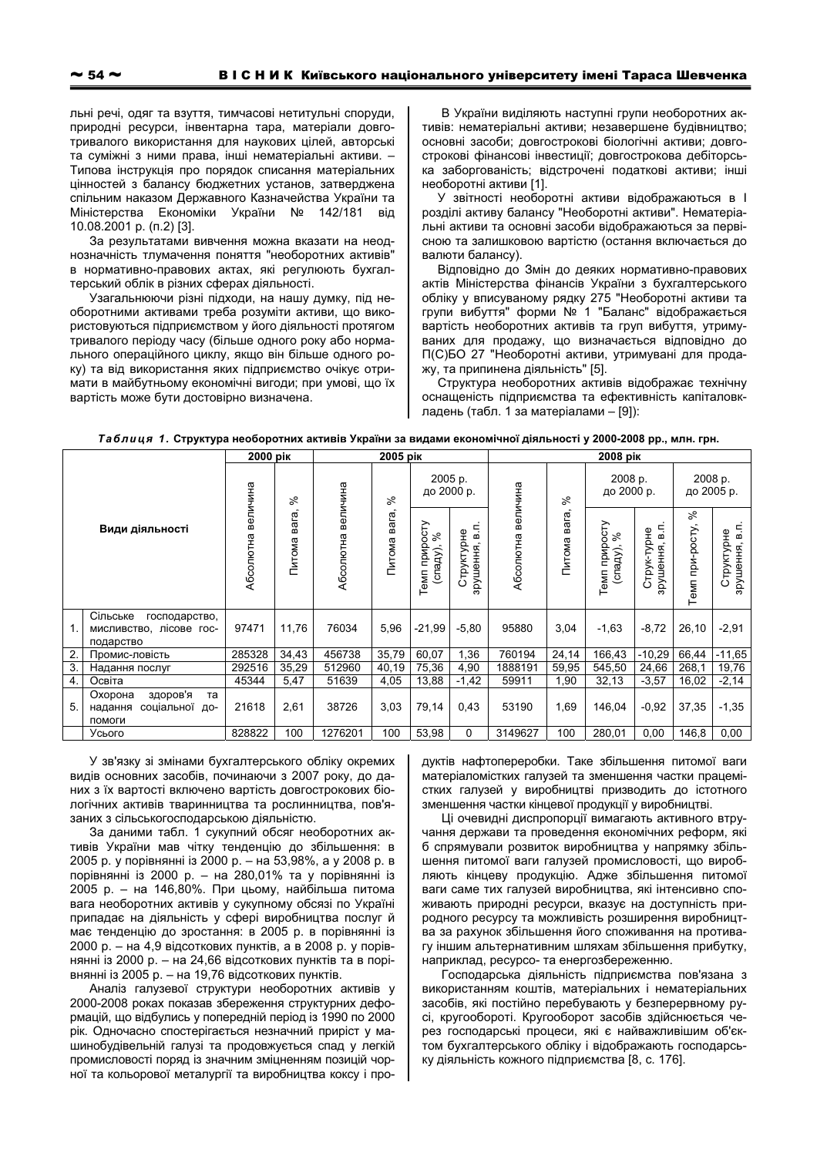льні речі, одяг та взуття, тимчасові нетитульні споруди, природні ресурси, інвентарна тара, матеріали довготривалого використання для наукових цілей, авторські та суміжні з ними права, інші нематеріальні активи. -Типова інструкція про порядок списання матеріальних цінностей з балансу бюджетних установ, затверджена спільним наказом Державного Казначейства України та Міністерства Економіки України № 142/181 від 10.08.2001 р. (п.2) [3].

За результатами вивчення можна вказати на неоднозначність тлумачення поняття "необоротних активів" в нормативно-правових актах, які регулюють бухгалтерський облік в різних сферах діяльності.

Узагальнюючи різні підходи, на нашу думку, під необоротними активами треба розуміти активи. що використовуються підприємством у його діяльності протягом тривалого періоду часу (більше одного року або нормального операційного циклу, якщо він більше одного року) та від використання яких підприємство очікує отримати в майбутньому економічні вигоди; при умові, що їх вартість може бути достовірно визначена.

В України виділяють наступні групи необоротних активів: нематеріальні активи; незавершене будівництво; основні засоби; довгострокові біологічні активи; довгострокові фінансові інвестиції; довгострокова дебіторська заборгованість; відстрочені податкові активи; інші необоротні активи [1].

У звітності необоротні активи відображаються в І розділі активу балансу "Необоротні активи". Нематеріальні активи та основні засоби відображаються за первісною та залишковою вартістю (остання включається до валюти балансу).

Відповідно до Змін до деяких нормативно-правових актів Міністерства фінансів України з бухгалтерського обліку у вписуваному рядку 275 "Необоротні активи та групи вибуття" форми № 1 "Баланс" відображається вартість необоротних активів та груп вибуття, утримуваних для продажу, що визначається відповідно до П(С)БО 27 "Необоротні активи, утримувані для продажу, та припинена діяльність" [5].

Структура необоротних активів відображає технічну оснащеність підприємства та ефективність капіталовкладень (табл. 1 за матеріалами - [9]):

| Таблиця 1. Структура необоротних активів України за видами економічної діяльності у 2000-2008 рр., млн. грн. |  |
|--------------------------------------------------------------------------------------------------------------|--|
|--------------------------------------------------------------------------------------------------------------|--|

|                 |                                                                     | 2000 pik           |                 |                    | 2005 pik        |                                 |                              | 2008 pik           |                       |                                    |                               |                       |                                           |
|-----------------|---------------------------------------------------------------------|--------------------|-----------------|--------------------|-----------------|---------------------------------|------------------------------|--------------------|-----------------------|------------------------------------|-------------------------------|-----------------------|-------------------------------------------|
|                 |                                                                     |                    | ೫               |                    | వి              | 2005 p.<br>до 2000 р.           |                              | Абсолютна величина | వి<br>вага,<br>Питома | 2008 p.<br>до 2000 р.              |                               | 2008 p.<br>до 2005 р. |                                           |
| Види діяльності |                                                                     | Абсолютна величина | вага,<br>Питома | Абсолютна величина | вага,<br>Питома | Темп приросту<br>వ్<br>(спаду), | 듦<br>Структурне<br>арушення, |                    |                       | Темп приросту<br>వి<br>$(c$ паду), | 듦<br>Струк-турне<br>зрушення, | వ్<br>Темп при-росту  | $\overline{B}$<br>Структурне<br>зрушення, |
| 1.              | Сільське<br>господарство,<br>мисливство, лісове гос-<br>подарство   | 97471              | 11,76           | 76034              | 5,96            | $-21,99$                        | $-5,80$                      | 95880              | 3,04                  | $-1,63$                            | $-8,72$                       | 26,10                 | $-2,91$                                   |
| $\overline{2}$  | Промис-ловість                                                      | 285328             | 34,43           | 456738             | 35,79           | 60,07                           | 1,36                         | 760194             | 24,14                 | 166,43                             | $-10,29$                      | 66,44                 | $-11,65$                                  |
| 3.              | Надання послуг                                                      | 292516             | 35,29           | 512960             | 40,19           | 75,36                           | 4,90                         | 1888191            | 59,95                 | 545,50                             | 24,66                         | 268,1                 | 19,76                                     |
| 4.              | Освіта                                                              | 45344              | 5,47            | 51639              | 4,05            | 13,88                           | $-1,42$                      | 59911              | 1,90                  | 32,13                              | $-3,57$                       | 16,02                 | $-2,14$                                   |
| 5.              | Охорона<br>здоров'я<br>та<br>соціальної<br>надання<br>ДО-<br>помоги | 21618              | 2,61            | 38726              | 3,03            | 79,14                           | 0,43                         | 53190              | 1,69                  | 146,04                             | $-0,92$                       | 37,35                 | $-1,35$                                   |
|                 | Усього                                                              | 828822             | 100             | 1276201            | 100             | 53,98                           | 0                            | 3149627            | 100                   | 280,01                             | 0,00                          | 146,8                 | 0,00                                      |

У зв'язку зі змінами бухгалтерського обліку окремих видів основних засобів, починаючи з 2007 року, до даних з їх вартості включено вартість довгострокових біологічних активів тваринництва та рослинництва, пов'язаних з сільськогосподарською діяльністю.

За даними табл. 1 сукупний обсяг необоротних активів України мав чітку тенденцію до збільшення: в 2005 р. у порівнянні із 2000 р. - на 53,98%, а у 2008 р. в порівнянні із 2000 р. - на 280,01% та у порівнянні із 2005 р. – на 146,80%. При цьому, найбільша питома вага необоротних активів у сукупному обсязі по Україні припадає на діяльність у сфері виробництва послуг й має тенденцію до зростання: в 2005 р. в порівнянні із 2000 р. – на 4,9 відсоткових пунктів, а в 2008 р. у порівнянні із 2000 р. - на 24,66 відсоткових пунктів та в порівнянні із 2005 р. - на 19,76 відсоткових пунктів.

Аналіз галузевої структури необоротних активів у 2000-2008 роках показав збереження структурних деформацій, що відбулись у попередній період із 1990 по 2000 рік. Одночасно спостерігається незначний приріст у машинобудівельній галузі та продовжується спад у легкій промисловості поряд із значним зміцненням позицій чорної та кольорової металургії та виробництва коксу і про-

дуктів нафтопереробки. Таке збільшення питомої ваги матеріаломістких галузей та зменшення частки працемістких галузей у виробництві призводить до істотного зменшення частки кінцевої продукції у виробництві.

Ці очевидні диспропорції вимагають активного втручання держави та проведення економічних реформ, які б спрямували розвиток виробництва у напрямку збільшення питомої ваги галузей промисловості, що виробляють кінцеву продукцію. Адже збільшення питомої ваги саме тих галузей виробництва, які інтенсивно споживають природні ресурси, вказує на доступність природного ресурсу та можливість розширення виробництва за рахунок збільшення його споживання на противагу іншим альтернативним шляхам збільшення прибутку, наприклад, ресурсо- та енергозбереженню.

Господарська діяльність підприємства пов'язана з використанням коштів, матеріальних і нематеріальних засобів, які постійно перебувають у безперервному русі, кругообороті. Кругооборот засобів здійснюється через господарські процеси, які є найважливішим об'єктом бухгалтерського обліку і відображають господарську діяльність кожного підприємства [8, с. 176].